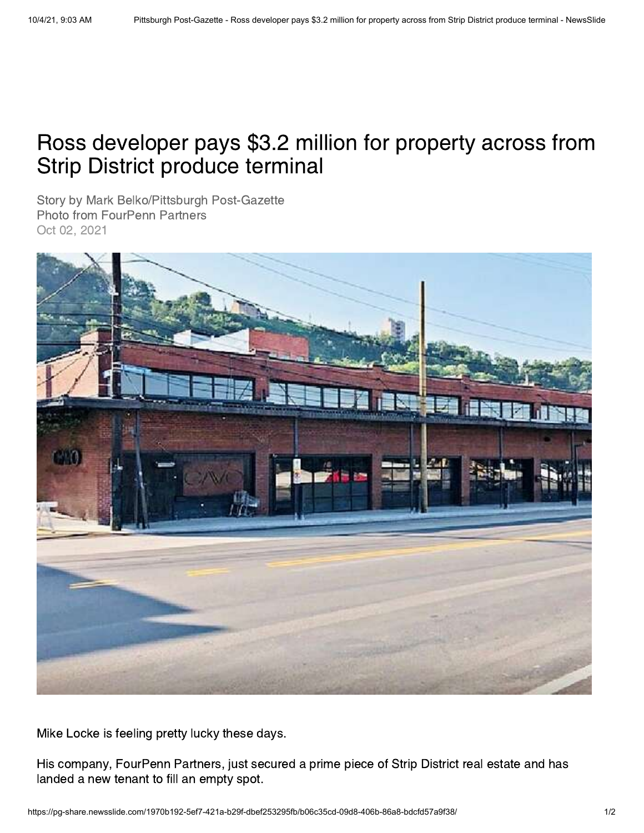## Ross developer pays \$3.2 million for property across from Strip District produce terminal

Story by Mark Belko/Pittsburgh Post-Gazette Photo from FourPenn Partners Oct 02, 2021



Mike Locke is feeling pretty lucky these days.

His company, FourPenn Partners, just secured a prime piece of Strip District real estate and has landed a new tenant to fill an empty spot.